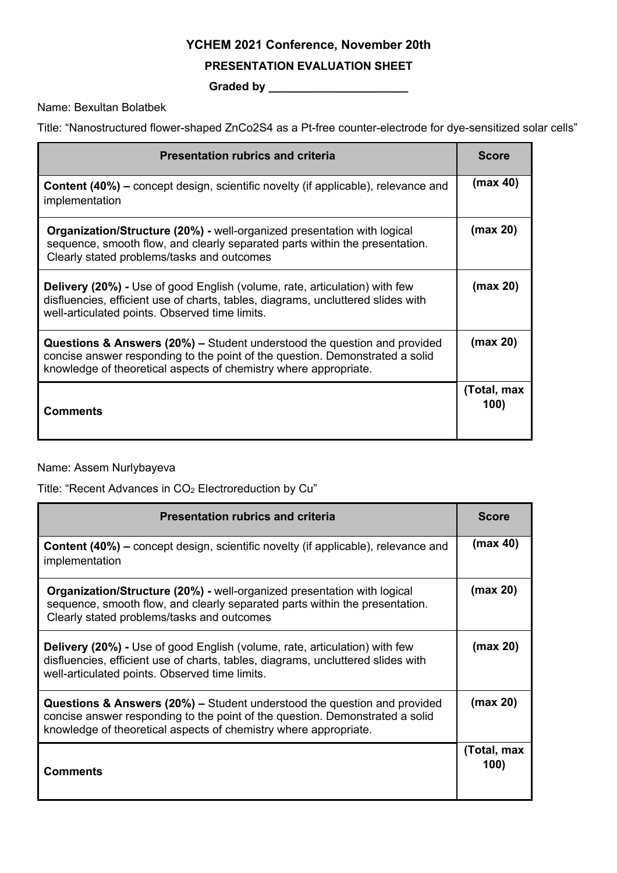# **YCHEM 2021 Conference, November 20th**

#### **PRESENTATION EVALUATION SHEET**

**Graded by \_\_\_\_\_\_\_\_\_\_\_\_\_\_\_\_\_\_\_\_\_\_**

Name: Bexultan Bolatbek

Title: "Nanostructured flower-shaped ZnCo2S4 as a Pt-free counter-electrode for dye-sensitized solar cells"

| <b>Presentation rubrics and criteria</b>                                                                                                                                                                                                | <b>Score</b>        |
|-----------------------------------------------------------------------------------------------------------------------------------------------------------------------------------------------------------------------------------------|---------------------|
| <b>Content (40%)</b> – concept design, scientific novelty (if applicable), relevance and<br>implementation                                                                                                                              | (max 40)            |
| <b>Organization/Structure (20%) - well-organized presentation with logical</b><br>sequence, smooth flow, and clearly separated parts within the presentation.<br>Clearly stated problems/tasks and outcomes                             | (max 20)            |
| <b>Delivery (20%) - Use of good English (volume, rate, articulation) with few</b><br>disfluencies, efficient use of charts, tables, diagrams, uncluttered slides with<br>well-articulated points. Observed time limits.                 | (max 20)            |
| <b>Questions &amp; Answers (20%) –</b> Student understood the question and provided<br>concise answer responding to the point of the question. Demonstrated a solid<br>knowledge of theoretical aspects of chemistry where appropriate. | (max 20)            |
| <b>Comments</b>                                                                                                                                                                                                                         | (Total, max<br>100) |

## Name: Assem Nurlybayeva

Title: "Recent Advances in CO<sub>2</sub> Electroreduction by Cu"

| <b>Presentation rubrics and criteria</b>                                                                                                                                                                                                | <b>Score</b>        |
|-----------------------------------------------------------------------------------------------------------------------------------------------------------------------------------------------------------------------------------------|---------------------|
| <b>Content (40%)</b> – concept design, scientific novelty (if applicable), relevance and<br>implementation                                                                                                                              | (max 40)            |
| <b>Organization/Structure (20%) - well-organized presentation with logical</b><br>sequence, smooth flow, and clearly separated parts within the presentation.<br>Clearly stated problems/tasks and outcomes                             | (max 20)            |
| <b>Delivery (20%)</b> - Use of good English (volume, rate, articulation) with few<br>disfluencies, efficient use of charts, tables, diagrams, uncluttered slides with<br>well-articulated points. Observed time limits.                 | (max 20)            |
| <b>Questions &amp; Answers (20%) – Student understood the question and provided</b><br>concise answer responding to the point of the question. Demonstrated a solid<br>knowledge of theoretical aspects of chemistry where appropriate. | (max 20)            |
| <b>Comments</b>                                                                                                                                                                                                                         | (Total, max<br>100) |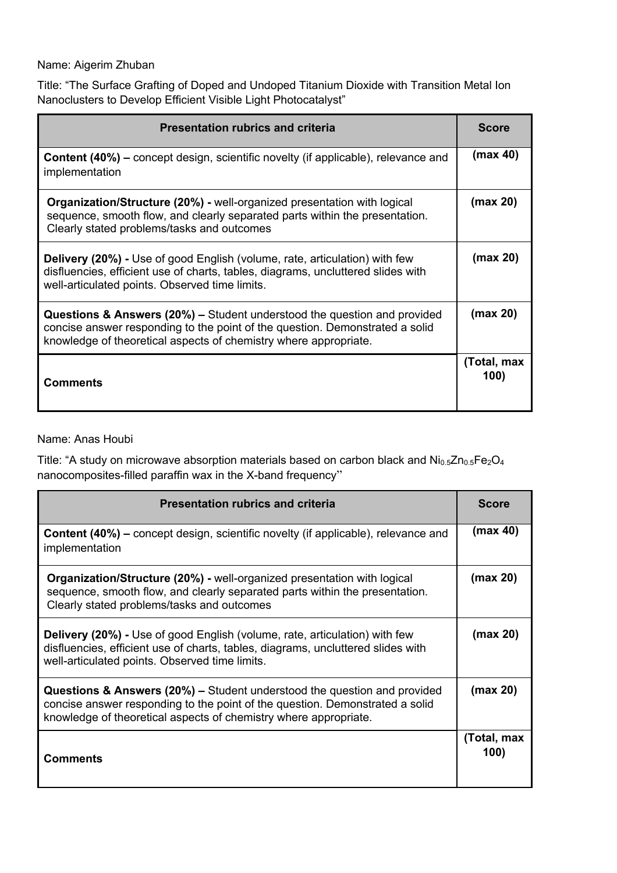#### Name: Aigerim Zhuban

Title: "The Surface Grafting of Doped and Undoped Titanium Dioxide with Transition Metal Ion Nanoclusters to Develop Efficient Visible Light Photocatalyst"

| <b>Presentation rubrics and criteria</b>                                                                                                                                                                                                | <b>Score</b>        |
|-----------------------------------------------------------------------------------------------------------------------------------------------------------------------------------------------------------------------------------------|---------------------|
| <b>Content (40%)</b> – concept design, scientific novelty (if applicable), relevance and<br>implementation                                                                                                                              | (max 40)            |
| <b>Organization/Structure (20%) - well-organized presentation with logical</b><br>sequence, smooth flow, and clearly separated parts within the presentation.<br>Clearly stated problems/tasks and outcomes                             | (max 20)            |
| <b>Delivery (20%) - Use of good English (volume, rate, articulation) with few</b><br>disfluencies, efficient use of charts, tables, diagrams, uncluttered slides with<br>well-articulated points. Observed time limits.                 | (max 20)            |
| <b>Questions &amp; Answers (20%) – Student understood the question and provided</b><br>concise answer responding to the point of the question. Demonstrated a solid<br>knowledge of theoretical aspects of chemistry where appropriate. | (max 20)            |
| <b>Comments</b>                                                                                                                                                                                                                         | (Total, max<br>100) |

Name: Anas Houbi

Title: "A study on microwave absorption materials based on carbon black and  $Ni_{0.5}Zn_{0.5}Fe_2O_4$ nanocomposites-filled paraffin wax in the X-band frequency"

| <b>Presentation rubrics and criteria</b>                                                                                                                                                                                                |                     |
|-----------------------------------------------------------------------------------------------------------------------------------------------------------------------------------------------------------------------------------------|---------------------|
| <b>Content (40%)</b> – concept design, scientific novelty (if applicable), relevance and<br>implementation                                                                                                                              | (max 40)            |
| <b>Organization/Structure (20%) - well-organized presentation with logical</b><br>sequence, smooth flow, and clearly separated parts within the presentation.<br>Clearly stated problems/tasks and outcomes                             | (max 20)            |
| <b>Delivery (20%)</b> - Use of good English (volume, rate, articulation) with few<br>disfluencies, efficient use of charts, tables, diagrams, uncluttered slides with<br>well-articulated points. Observed time limits.                 | (max 20)            |
| <b>Questions &amp; Answers (20%) – Student understood the question and provided</b><br>concise answer responding to the point of the question. Demonstrated a solid<br>knowledge of theoretical aspects of chemistry where appropriate. | (max 20)            |
| <b>Comments</b>                                                                                                                                                                                                                         | (Total, max<br>100) |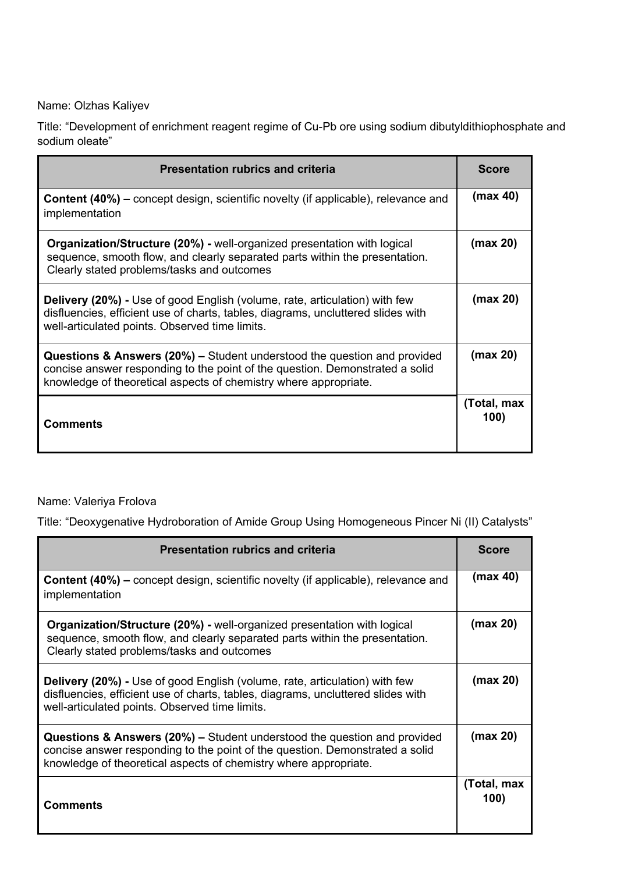Name: Olzhas Kaliyev

Title: "Development of enrichment reagent regime of Cu-Pb ore using sodium dibutyldithiophosphate and sodium oleate"

| <b>Presentation rubrics and criteria</b>                                                                                                                                                                                                | <b>Score</b>        |
|-----------------------------------------------------------------------------------------------------------------------------------------------------------------------------------------------------------------------------------------|---------------------|
| <b>Content (40%)</b> – concept design, scientific novelty (if applicable), relevance and<br>implementation                                                                                                                              | (max 40)            |
| <b>Organization/Structure (20%) - well-organized presentation with logical</b><br>sequence, smooth flow, and clearly separated parts within the presentation.<br>Clearly stated problems/tasks and outcomes                             | (max 20)            |
| <b>Delivery (20%)</b> - Use of good English (volume, rate, articulation) with few<br>disfluencies, efficient use of charts, tables, diagrams, uncluttered slides with<br>well-articulated points. Observed time limits.                 | (max 20)            |
| <b>Questions &amp; Answers (20%)</b> – Student understood the question and provided<br>concise answer responding to the point of the question. Demonstrated a solid<br>knowledge of theoretical aspects of chemistry where appropriate. | (max 20)            |
| <b>Comments</b>                                                                                                                                                                                                                         | (Total, max<br>100) |

## Name: Valeriya Frolova

Title: "Deoxygenative Hydroboration of Amide Group Using Homogeneous Pincer Ni (II) Catalysts"

| <b>Presentation rubrics and criteria</b>                                                                                                                                                                                                |                     |
|-----------------------------------------------------------------------------------------------------------------------------------------------------------------------------------------------------------------------------------------|---------------------|
| <b>Content (40%)</b> – concept design, scientific novelty (if applicable), relevance and<br>implementation                                                                                                                              | (max 40)            |
| <b>Organization/Structure (20%) - well-organized presentation with logical</b><br>sequence, smooth flow, and clearly separated parts within the presentation.<br>Clearly stated problems/tasks and outcomes                             | (max 20)            |
| <b>Delivery (20%)</b> - Use of good English (volume, rate, articulation) with few<br>disfluencies, efficient use of charts, tables, diagrams, uncluttered slides with<br>well-articulated points. Observed time limits.                 | (max 20)            |
| <b>Questions &amp; Answers (20%) – Student understood the question and provided</b><br>concise answer responding to the point of the question. Demonstrated a solid<br>knowledge of theoretical aspects of chemistry where appropriate. | (max 20)            |
| Comments                                                                                                                                                                                                                                | (Total, max<br>100) |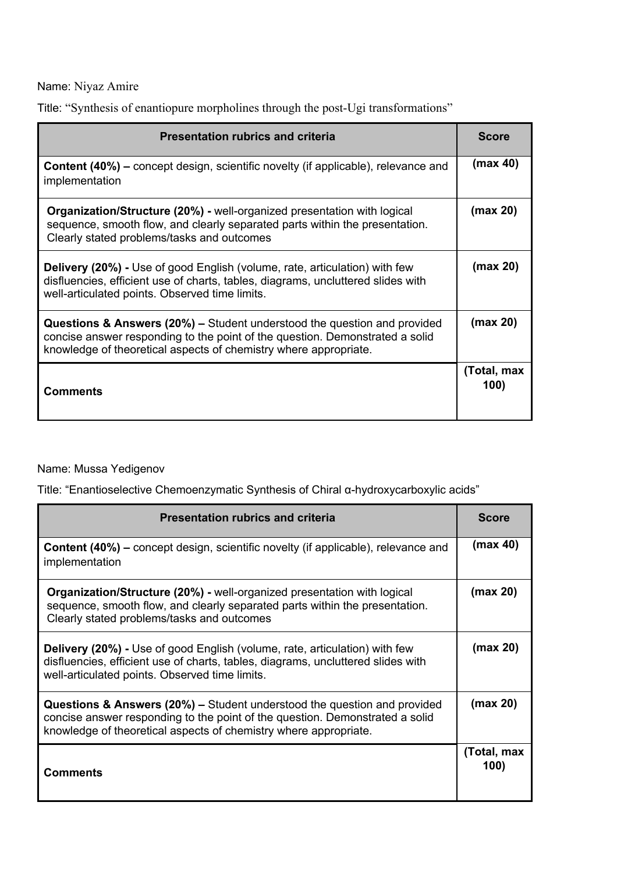Name: Niyaz Amire

Title: "Synthesis of enantiopure morpholines through the post-Ugi transformations"

| <b>Presentation rubrics and criteria</b>                                                                                                                                                                                                | <b>Score</b>        |
|-----------------------------------------------------------------------------------------------------------------------------------------------------------------------------------------------------------------------------------------|---------------------|
| <b>Content (40%)</b> – concept design, scientific novelty (if applicable), relevance and<br>implementation                                                                                                                              | (max 40)            |
| <b>Organization/Structure (20%) - well-organized presentation with logical</b><br>sequence, smooth flow, and clearly separated parts within the presentation.<br>Clearly stated problems/tasks and outcomes                             | (max 20)            |
| <b>Delivery (20%) - Use of good English (volume, rate, articulation) with few</b><br>disfluencies, efficient use of charts, tables, diagrams, uncluttered slides with<br>well-articulated points. Observed time limits.                 | (max 20)            |
| <b>Questions &amp; Answers (20%)</b> – Student understood the question and provided<br>concise answer responding to the point of the question. Demonstrated a solid<br>knowledge of theoretical aspects of chemistry where appropriate. | (max 20)            |
| <b>Comments</b>                                                                                                                                                                                                                         | (Total, max<br>100) |

## Name: Mussa Yedigenov

Title: "Enantioselective Chemoenzymatic Synthesis of Chiral α-hydroxycarboxylic acids"

| <b>Presentation rubrics and criteria</b>                                                                                                                                                                                                | <b>Score</b>        |
|-----------------------------------------------------------------------------------------------------------------------------------------------------------------------------------------------------------------------------------------|---------------------|
| <b>Content (40%)</b> – concept design, scientific novelty (if applicable), relevance and<br>implementation                                                                                                                              | (max 40)            |
| <b>Organization/Structure (20%) - well-organized presentation with logical</b><br>sequence, smooth flow, and clearly separated parts within the presentation.<br>Clearly stated problems/tasks and outcomes                             | (max 20)            |
| <b>Delivery (20%)</b> - Use of good English (volume, rate, articulation) with few<br>disfluencies, efficient use of charts, tables, diagrams, uncluttered slides with<br>well-articulated points. Observed time limits.                 | (max 20)            |
| <b>Questions &amp; Answers (20%) – Student understood the question and provided</b><br>concise answer responding to the point of the question. Demonstrated a solid<br>knowledge of theoretical aspects of chemistry where appropriate. | (max 20)            |
| <b>Comments</b>                                                                                                                                                                                                                         | (Total, max<br>100) |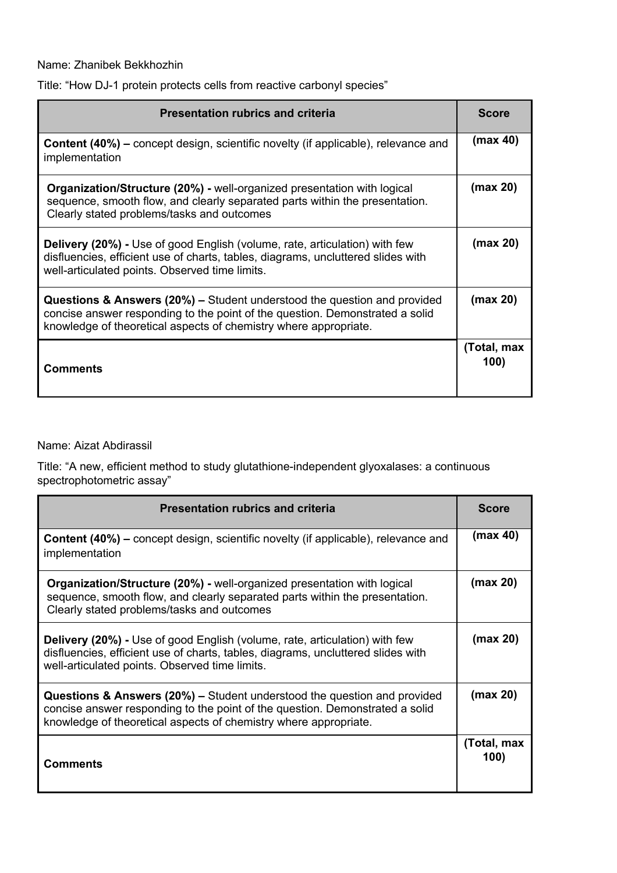# Name: Zhanibek Bekkhozhin

| Title: "How DJ-1 protein protects cells from reactive carbonyl species" |  |
|-------------------------------------------------------------------------|--|
|-------------------------------------------------------------------------|--|

| <b>Presentation rubrics and criteria</b>                                                                                                                                                                                                | <b>Score</b>        |
|-----------------------------------------------------------------------------------------------------------------------------------------------------------------------------------------------------------------------------------------|---------------------|
| <b>Content (40%)</b> – concept design, scientific novelty (if applicable), relevance and<br>implementation                                                                                                                              | (max 40)            |
| <b>Organization/Structure (20%) - well-organized presentation with logical</b><br>sequence, smooth flow, and clearly separated parts within the presentation.<br>Clearly stated problems/tasks and outcomes                             | (max 20)            |
| <b>Delivery (20%) - Use of good English (volume, rate, articulation) with few</b><br>disfluencies, efficient use of charts, tables, diagrams, uncluttered slides with<br>well-articulated points. Observed time limits.                 | (max 20)            |
| <b>Questions &amp; Answers (20%)</b> – Student understood the question and provided<br>concise answer responding to the point of the question. Demonstrated a solid<br>knowledge of theoretical aspects of chemistry where appropriate. | (max 20)            |
| <b>Comments</b>                                                                                                                                                                                                                         | (Total, max<br>100) |

Name: Aizat Abdirassil

Title: "A new, efficient method to study glutathione-independent glyoxalases: a continuous spectrophotometric assay"

| <b>Presentation rubrics and criteria</b>                                                                                                                                                                                                |                     |
|-----------------------------------------------------------------------------------------------------------------------------------------------------------------------------------------------------------------------------------------|---------------------|
| <b>Content (40%)</b> – concept design, scientific novelty (if applicable), relevance and<br>implementation                                                                                                                              | (max 40)            |
| <b>Organization/Structure (20%) - well-organized presentation with logical</b><br>sequence, smooth flow, and clearly separated parts within the presentation.<br>Clearly stated problems/tasks and outcomes                             | (max 20)            |
| <b>Delivery (20%)</b> - Use of good English (volume, rate, articulation) with few<br>disfluencies, efficient use of charts, tables, diagrams, uncluttered slides with<br>well-articulated points. Observed time limits.                 | (max 20)            |
| <b>Questions &amp; Answers (20%) – Student understood the question and provided</b><br>concise answer responding to the point of the question. Demonstrated a solid<br>knowledge of theoretical aspects of chemistry where appropriate. | (max 20)            |
| Comments                                                                                                                                                                                                                                | (Total, max<br>100) |